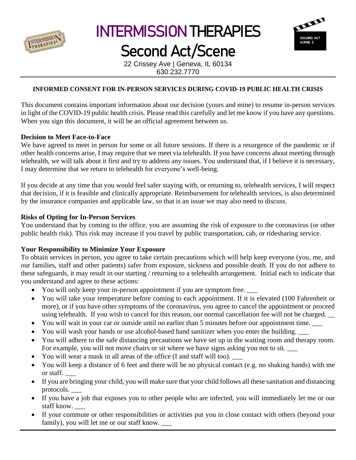

# INTERMISSION THERAPIES

# Second Act/Scene



22 Crissey Ave | Geneva, IL 60134 630.232.7770

## **INFORMED CONSENT FOR IN-PERSON SERVICES DURING COVID-19 PUBLIC HEALTH CRISIS**

This document contains important information about our decision (yours and mine) to resume in-person services in light of the COVID-19 public health crisis. Please read this carefully and let me know if you have any questions. When you sign this document, it will be an official agreement between us.

#### **Decision to Meet Face-to-Face**

We have agreed to meet in person for some or all future sessions. If there is a resurgence of the pandemic or if other health concerns arise, I may require that we meet via telehealth. If you have concerns about meeting through telehealth, we will talk about it first and try to address any issues. You understand that, if I believe it is necessary, I may determine that we return to telehealth for everyone's well-being.

If you decide at any time that you would feel safer staying with, or returning to, telehealth services, I will respect that decision, if it is feasible and clinically appropriate. Reimbursement for telehealth services, is also determined by the insurance companies and applicable law, so that is an issue we may also need to discuss.

### **Risks of Opting for In-Person Services**

You understand that by coming to the office, you are assuming the risk of exposure to the coronavirus (or other public health risk). This risk may increase if you travel by public transportation, cab, or ridesharing service.

### **Your Responsibility to Minimize Your Exposure**

To obtain services in person, you agree to take certain precautions which will help keep everyone (you, me, and our families, staff and other patients) safer from exposure, sickness and possible death. If you do not adhere to these safeguards, it may result in our starting / returning to a telehealth arrangement. Initial each to indicate that you understand and agree to these actions:

- You will only keep your in-person appointment if you are symptom free.
- You will take your temperature before coming to each appointment. If it is elevated (100 Fahrenheit or more), or if you have other symptoms of the coronavirus, you agree to cancel the appointment or proceed using telehealth. If you wish to cancel for this reason, our normal cancellation fee will not be charged.
- You will wait in your car or outside until no earlier than 5 minutes before our appointment time.
- You will wash your hands or use alcohol-based hand sanitizer when you enter the building. \_\_\_
- You will adhere to the safe distancing precautions we have set up in the waiting room and therapy room. For example, you will not move chairs or sit where we have signs asking you not to sit.
- You will wear a mask in all areas of the office (I and staff will too).
- You will keep a distance of 6 feet and there will be no physical contact (e.g. no shaking hands) with me or staff. \_\_\_
- If you are bringing your child, you will make sure that your child follows all these sanitation and distancing protocols. \_\_\_
- If you have a job that exposes you to other people who are infected, you will immediately let me or our staff know. \_\_\_
- If your commute or other responsibilities or activities put you in close contact with others (beyond your family), you will let me or our staff know.